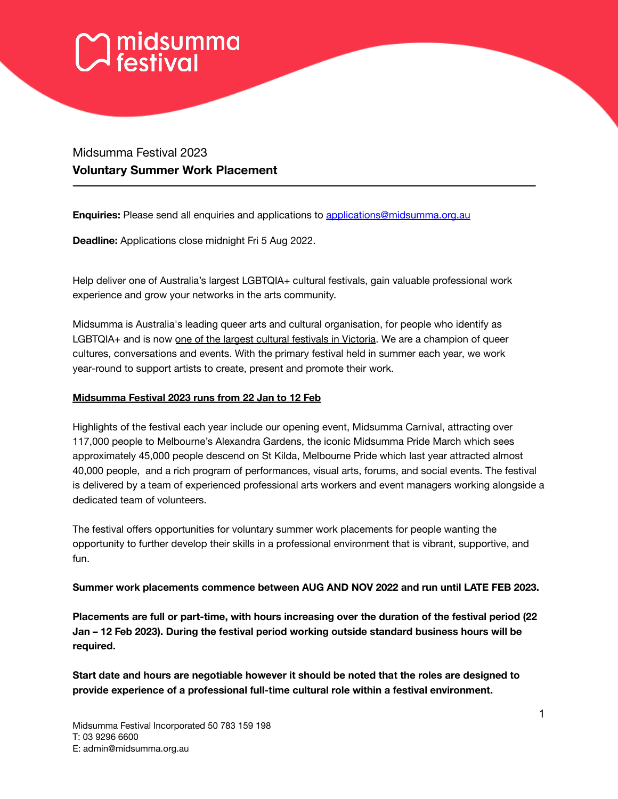# $\gamma$ midsumma<br> $\lambda$  festival

# Midsumma Festival 2023 **Voluntary Summer Work Placement**

**Enquiries:** Please send all enquiries and applications to [applications@midsumma.org.au](mailto:applications@midsumma.org.au)

**Deadline:** Applications close midnight Fri 5 Aug 2022.

Help deliver one of Australia's largest LGBTQIA+ cultural festivals, gain valuable professional work experience and grow your networks in the arts community.

Midsumma is Australia's leading queer arts and cultural organisation, for people who identify as LGBTQIA+ and is now one of the largest cultural festivals in Victoria. We are a champion of queer cultures, conversations and events. With the primary festival held in summer each year, we work year-round to support artists to create, present and promote their work.

#### **Midsumma Festival 2023 runs from 22 Jan to 12 Feb**

Highlights of the festival each year include our opening event, Midsumma Carnival, attracting over 117,000 people to Melbourne's Alexandra Gardens, the iconic Midsumma Pride March which sees approximately 45,000 people descend on St Kilda, Melbourne Pride which last year attracted almost 40,000 people, and a rich program of performances, visual arts, forums, and social events. The festival is delivered by a team of experienced professional arts workers and event managers working alongside a dedicated team of volunteers.

The festival offers opportunities for voluntary summer work placements for people wanting the opportunity to further develop their skills in a professional environment that is vibrant, supportive, and fun.

**Summer work placements commence between AUG AND NOV 2022 and run until LATE FEB 2023.**

**Placements are full or part-time, with hours increasing over the duration of the festival period (22 Jan – 12 Feb 2023). During the festival period working outside standard business hours will be required.**

**Start date and hours are negotiable however it should be noted that the roles are designed to provide experience of a professional full-time cultural role within a festival environment.**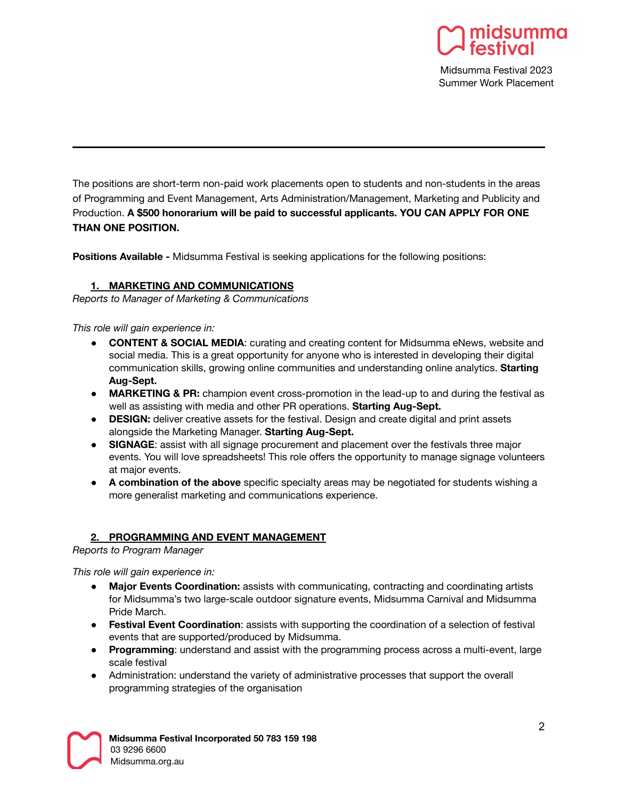

Midsumma Festival 2023 Summer Work Placement

The positions are short-term non-paid work placements open to students and non-students in the areas of Programming and Event Management, Arts Administration/Management, Marketing and Publicity and Production. **A \$500 honorarium will be paid to successful applicants. YOU CAN APPLY FOR ONE THAN ONE POSITION.**

**Positions Available -** Midsumma Festival is seeking applications for the following positions:

### **1. MARKETING AND COMMUNICATIONS**

*Reports to Manager of Marketing & Communications*

*This role will gain experience in:*

- **CONTENT & SOCIAL MEDIA**: curating and creating content for Midsumma eNews, website and social media. This is a great opportunity for anyone who is interested in developing their digital communication skills, growing online communities and understanding online analytics. **Starting Aug-Sept.**
- **MARKETING & PR:** champion event cross-promotion in the lead-up to and during the festival as well as assisting with media and other PR operations. **Starting Aug-Sept.**
- **DESIGN:** deliver creative assets for the festival. Design and create digital and print assets alongside the Marketing Manager. **Starting Aug-Sept.**
- **SIGNAGE**: assist with all signage procurement and placement over the festivals three major events. You will love spreadsheets! This role offers the opportunity to manage signage volunteers at major events.
- **A combination of the above** specific specialty areas may be negotiated for students wishing a more generalist marketing and communications experience.

### **2. PROGRAMMING AND EVENT MANAGEMENT**

*Reports to Program Manager*

*This role will gain experience in:*

- **Major Events Coordination:** assists with communicating, contracting and coordinating artists for Midsumma's two large-scale outdoor signature events, Midsumma Carnival and Midsumma Pride March.
- **Festival Event Coordination**: assists with supporting the coordination of a selection of festival events that are supported/produced by Midsumma.
- **Programming**: understand and assist with the programming process across a multi-event, large scale festival
- Administration: understand the variety of administrative processes that support the overall programming strategies of the organisation